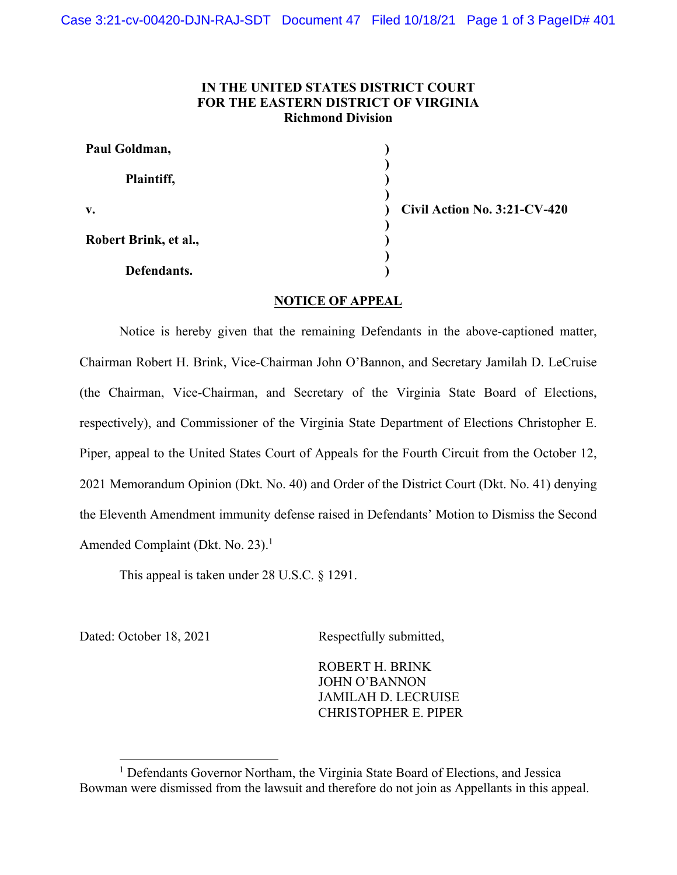## **IN THE UNITED STATES DISTRICT COURT FOR THE EASTERN DISTRICT OF VIRGINIA Richmond Division**

| Paul Goldman,         |                              |
|-----------------------|------------------------------|
| Plaintiff,            |                              |
| V.                    | Civil Action No. 3:21-CV-420 |
| Robert Brink, et al., |                              |
| Defendants.           |                              |

## **NOTICE OF APPEAL**

Notice is hereby given that the remaining Defendants in the above-captioned matter, Chairman Robert H. Brink, Vice-Chairman John O'Bannon, and Secretary Jamilah D. LeCruise (the Chairman, Vice-Chairman, and Secretary of the Virginia State Board of Elections, respectively), and Commissioner of the Virginia State Department of Elections Christopher E. Piper, appeal to the United States Court of Appeals for the Fourth Circuit from the October 12, 2021 Memorandum Opinion (Dkt. No. 40) and Order of the District Court (Dkt. No. 41) denying the Eleventh Amendment immunity defense raised in Defendants' Motion to Dismiss the Second Amended Complaint (Dkt. No. 23).<sup>1</sup>

This appeal is taken under 28 U.S.C. § 1291.

Dated: October 18, 2021 Respectfully submitted,

ROBERT H. BRINK JOHN O'BANNON JAMILAH D. LECRUISE CHRISTOPHER E. PIPER

<sup>&</sup>lt;sup>1</sup> Defendants Governor Northam, the Virginia State Board of Elections, and Jessica Bowman were dismissed from the lawsuit and therefore do not join as Appellants in this appeal.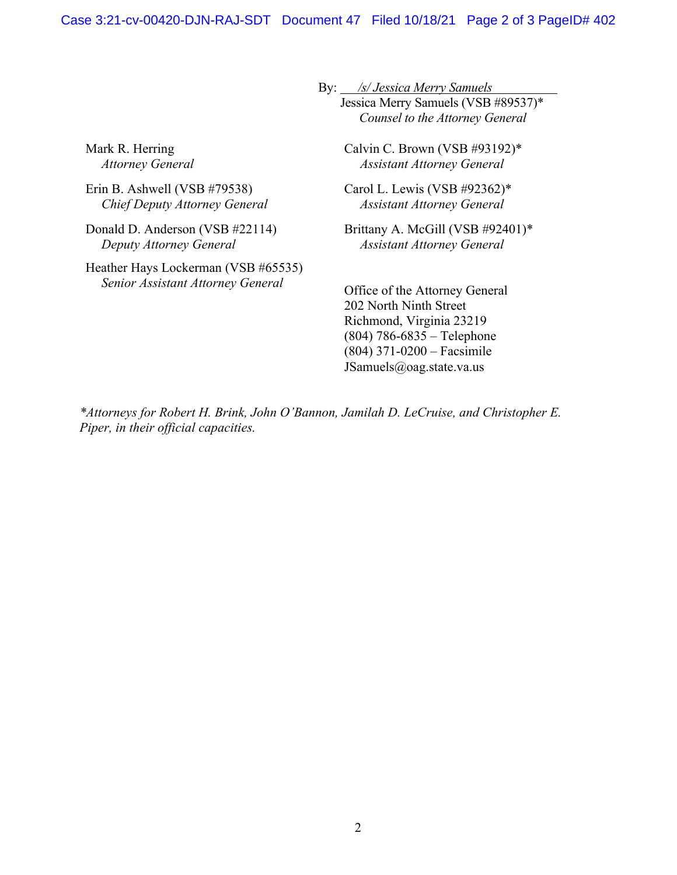By: */s/ Jessica Merry Samuels* 

 Jessica Merry Samuels (VSB #89537)\* *Counsel to the Attorney General* 

Mark R. Herring *Attorney General* 

Erin B. Ashwell (VSB #79538) *Chief Deputy Attorney General* 

Donald D. Anderson (VSB #22114) *Deputy Attorney General* 

Heather Hays Lockerman (VSB #65535) *Senior Assistant Attorney General*

Calvin C. Brown (VSB #93192)\* *Assistant Attorney General* 

Carol L. Lewis (VSB #92362)\* *Assistant Attorney General*

Brittany A. McGill (VSB #92401)\* *Assistant Attorney General* 

Office of the Attorney General 202 North Ninth Street Richmond, Virginia 23219 (804) 786-6835 – Telephone (804) 371-0200 – Facsimile JSamuels@oag.state.va.us

*\*Attorneys for Robert H. Brink, John O'Bannon, Jamilah D. LeCruise, and Christopher E. Piper, in their official capacities.*